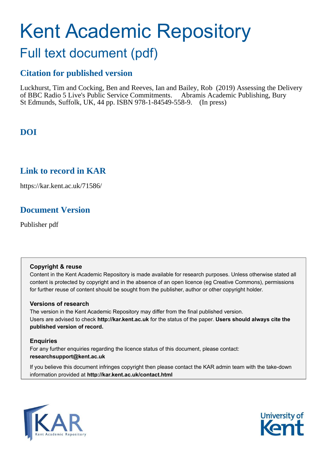# Kent Academic Repository

## Full text document (pdf)

#### **Citation for published version**

Luckhurst, Tim and Cocking, Ben and Reeves, Ian and Bailey, Rob (2019) Assessing the Delivery of BBC Radio 5 Live's Public Service Commitments. Abramis Academic Publishing, Bury St Edmunds, Suffolk, UK, 44 pp. ISBN 978-1-84549-558-9. (In press)

#### **DOI**

#### **Link to record in KAR**

https://kar.kent.ac.uk/71586/

#### **Document Version**

Publisher pdf

#### **Copyright & reuse**

Content in the Kent Academic Repository is made available for research purposes. Unless otherwise stated all content is protected by copyright and in the absence of an open licence (eg Creative Commons), permissions for further reuse of content should be sought from the publisher, author or other copyright holder.

#### **Versions of research**

The version in the Kent Academic Repository may differ from the final published version. Users are advised to check **http://kar.kent.ac.uk** for the status of the paper. **Users should always cite the published version of record.**

#### **Enquiries**

For any further enquiries regarding the licence status of this document, please contact: **researchsupport@kent.ac.uk**

If you believe this document infringes copyright then please contact the KAR admin team with the take-down information provided at **http://kar.kent.ac.uk/contact.html**



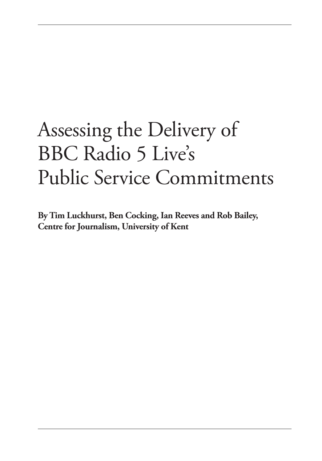## Assessing the Delivery of BBC Radio 5 Live's Public Service Commitments

**By Tim Luckhurst, Ben Cocking, Ian Reeves and Rob Bailey, Centre for Journalism, University of Kent**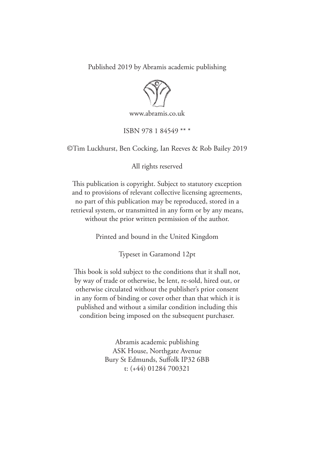Published 2019 by Abramis academic publishing



www.abramis.co.uk

ISBN 978 1 84549 \*\* \*

©Tim Luckhurst, Ben Cocking, Ian Reeves & Rob Bailey 2019

All rights reserved

his publication is copyright. Subject to statutory exception and to provisions of relevant collective licensing agreements, no part of this publication may be reproduced, stored in a retrieval system, or transmitted in any form or by any means, without the prior written permission of the author.

Printed and bound in the United Kingdom

Typeset in Garamond 12pt

This book is sold subject to the conditions that it shall not, by way of trade or otherwise, be lent, re-sold, hired out, or otherwise circulated without the publisher's prior consent in any form of binding or cover other than that which it is published and without a similar condition including this condition being imposed on the subsequent purchaser.

> Abramis academic publishing ASK House, Northgate Avenue Bury St Edmunds, Sufolk IP32 6BB t: (+44) 01284 700321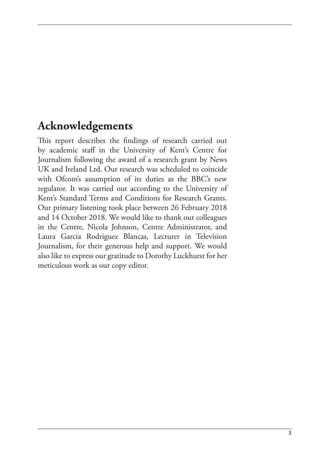#### **Acknowledgements**

This report describes the findings of research carried out by academic staf in the University of Kent's Centre for Journalism following the award of a research grant by News UK and Ireland Ltd. Our research was scheduled to coincide with Ofcom's assumption of its duties as the BBC's new regulator. It was carried out according to the University of Kent's Standard Terms and Conditions for Research Grants. Our primary listening took place between 26 February 2018 and 14 October 2018. We would like to thank our colleagues in the Centre, Nicola Johnson, Centre Administrator, and Laura Garcia Rodriguez Blancas, Lecturer in Television Journalism, for their generous help and support. We would also like to express our gratitude to Dorothy Luckhurst for her meticulous work as our copy editor.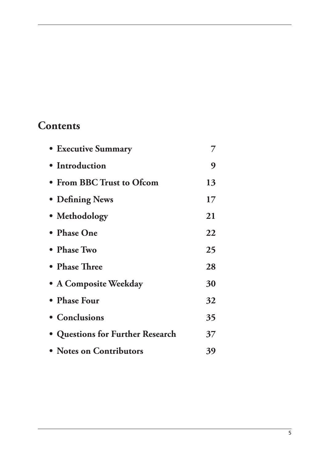#### **Contents**

| <b>• Executive Summary</b>       |    |
|----------------------------------|----|
| • Introduction                   | 9  |
| • From BBC Trust to Ofcom        | 13 |
| • Defining News                  | 17 |
| • Methodology                    | 21 |
| • Phase One                      | 22 |
| • Phase Two                      | 25 |
| • Phase Three                    | 28 |
| • A Composite Weekday            | 30 |
| • Phase Four                     | 32 |
| • Conclusions                    | 35 |
| • Questions for Further Research | 37 |
| • Notes on Contributors          | 39 |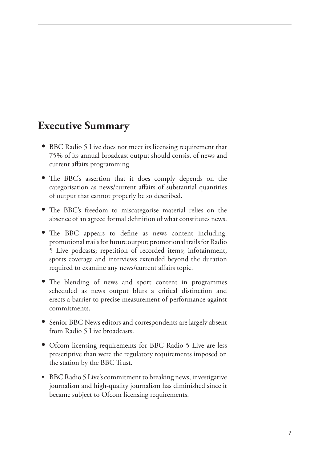#### **Executive Summary**

- **•** BBC Radio 5 Live does not meet its licensing requirement that 75% of its annual broadcast output should consist of news and current afairs programming.
- The BBC's assertion that it does comply depends on the categorisation as news/current afairs of substantial quantities of output that cannot properly be so described.
- The BBC's freedom to miscategorise material relies on the absence of an agreed formal definition of what constitutes news.
- The BBC appears to define as news content including: promotional trails for future output; promotional trails for Radio 5 Live podcasts; repetition of recorded items; infotainment, sports coverage and interviews extended beyond the duration required to examine any news/current afairs topic.
- The blending of news and sport content in programmes scheduled as news output blurs a critical distinction and erects a barrier to precise measurement of performance against commitments.
- **•** Senior BBC News editors and correspondents are largely absent from Radio 5 Live broadcasts.
- Ofcom licensing requirements for BBC Radio 5 Live are less prescriptive than were the regulatory requirements imposed on the station by the BBC Trust.
- BBC Radio 5 Live's commitment to breaking news, investigative journalism and high-quality journalism has diminished since it became subject to Ofcom licensing requirements.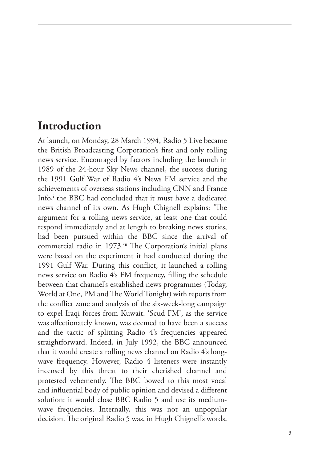#### **Introduction**

At launch, on Monday, 28 March 1994, Radio 5 Live became the British Broadcasting Corporation's first and only rolling news service. Encouraged by factors including the launch in 1989 of the 24-hour Sky News channel, the success during the 1991 Gulf War of Radio 4's News FM service and the achievements of overseas stations including CNN and France Info, i the BBC had concluded that it must have a dedicated news channel of its own. As Hugh Chignell explains: 'The argument for a rolling news service, at least one that could respond immediately and at length to breaking news stories, had been pursued within the BBC since the arrival of commercial radio in 1973.'ii The Corporation's initial plans were based on the experiment it had conducted during the 1991 Gulf War. During this conflict, it launched a rolling news service on Radio 4's FM frequency, filling the schedule between that channel's established news programmes (Today, World at One, PM and The World Tonight) with reports from the conflict zone and analysis of the six-week-long campaign to expel Iraqi forces from Kuwait. 'Scud FM', as the service was afectionately known, was deemed to have been a success and the tactic of splitting Radio 4's frequencies appeared straightforward. Indeed, in July 1992, the BBC announced that it would create a rolling news channel on Radio 4's longwave frequency. However, Radio 4 listeners were instantly incensed by this threat to their cherished channel and protested vehemently. The BBC bowed to this most vocal and influential body of public opinion and devised a different solution: it would close BBC Radio 5 and use its mediumwave frequencies. Internally, this was not an unpopular decision. The original Radio 5 was, in Hugh Chignell's words,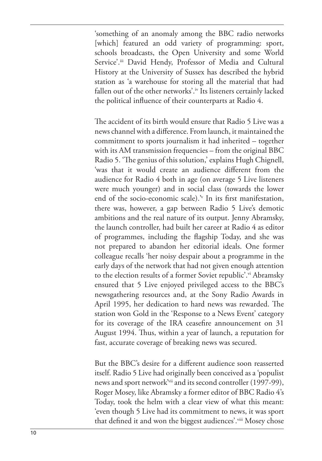'something of an anomaly among the BBC radio networks [which] featured an odd variety of programming: sport, schools broadcasts, the Open University and some World Service'.<sup>iii</sup> David Hendy, Professor of Media and Cultural History at the University of Sussex has described the hybrid station as 'a warehouse for storing all the material that had fallen out of the other networks'.iv Its listeners certainly lacked the political influence of their counterparts at Radio 4.

he accident of its birth would ensure that Radio 5 Live was a news channel with a diference. From launch, it maintained the commitment to sports journalism it had inherited – together with its AM transmission frequencies – from the original BBC Radio 5. 'The genius of this solution,' explains Hugh Chignell, 'was that it would create an audience diferent from the audience for Radio 4 both in age (on average 5 Live listeners were much younger) and in social class (towards the lower end of the socio-economic scale).<sup>\*</sup> In its first manifestation, there was, however, a gap between Radio 5 Live's demotic ambitions and the real nature of its output. Jenny Abramsky, the launch controller, had built her career at Radio 4 as editor of programmes, including the lagship Today, and she was not prepared to abandon her editorial ideals. One former colleague recalls 'her noisy despair about a programme in the early days of the network that had not given enough attention to the election results of a former Soviet republic'.<sup>vi</sup> Abramsky ensured that 5 Live enjoyed privileged access to the BBC's newsgathering resources and, at the Sony Radio Awards in April 1995, her dedication to hard news was rewarded. The station won Gold in the 'Response to a News Event' category for its coverage of the IRA ceasefire announcement on 31 August 1994. Thus, within a year of launch, a reputation for fast, accurate coverage of breaking news was secured.

But the BBC's desire for a diferent audience soon reasserted itself. Radio 5 Live had originally been conceived as a 'populist news and sport network'vii and its second controller (1997-99), Roger Mosey, like Abramsky a former editor of BBC Radio 4's Today, took the helm with a clear view of what this meant: 'even though 5 Live had its commitment to news, it was sport that defined it and won the biggest audiences'.viii Mosey chose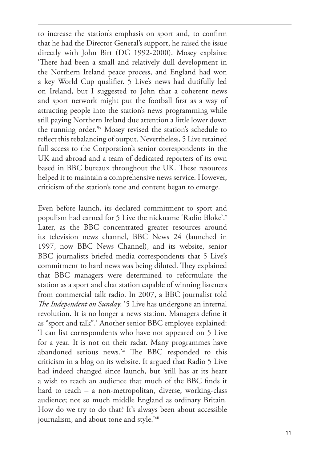to increase the station's emphasis on sport and, to confirm that he had the Director General's support, he raised the issue directly with John Birt (DG 1992-2000). Mosey explains: 'here had been a small and relatively dull development in the Northern Ireland peace process, and England had won a key World Cup qualifier. 5 Live's news had dutifully led on Ireland, but I suggested to John that a coherent news and sport network might put the football first as a way of attracting people into the station's news programming while still paying Northern Ireland due attention a little lower down the running order.'ix Mosey revised the station's schedule to reflect this rebalancing of output. Nevertheless, 5 Live retained full access to the Corporation's senior correspondents in the UK and abroad and a team of dedicated reporters of its own based in BBC bureaux throughout the UK. These resources helped it to maintain a comprehensive news service. However, criticism of the station's tone and content began to emerge.

Even before launch, its declared commitment to sport and populism had earned for 5 Live the nickname 'Radio Bloke'. x Later, as the BBC concentrated greater resources around its television news channel, BBC News 24 (launched in 1997, now BBC News Channel), and its website, senior BBC journalists briefed media correspondents that 5 Live's commitment to hard news was being diluted. They explained that BBC managers were determined to reformulate the station as a sport and chat station capable of winning listeners from commercial talk radio. In 2007, a BBC journalist told *The Independent on Sunday*: '5 Live has undergone an internal revolution. It is no longer a news station. Managers define it as "sport and talk".' Another senior BBC employee explained: 'I can list correspondents who have not appeared on 5 Live for a year. It is not on their radar. Many programmes have abandoned serious news.'xi The BBC responded to this criticism in a blog on its website. It argued that Radio 5 Live had indeed changed since launch, but 'still has at its heart a wish to reach an audience that much of the BBC inds it hard to reach – a non-metropolitan, diverse, working-class audience; not so much middle England as ordinary Britain. How do we try to do that? It's always been about accessible journalism, and about tone and style.'xii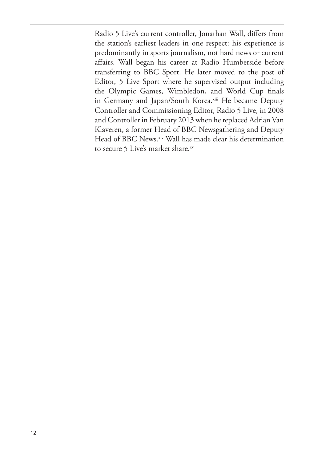Radio 5 Live's current controller, Jonathan Wall, difers from the station's earliest leaders in one respect: his experience is predominantly in sports journalism, not hard news or current afairs. Wall began his career at Radio Humberside before transferring to BBC Sport. He later moved to the post of Editor, 5 Live Sport where he supervised output including the Olympic Games, Wimbledon, and World Cup finals in Germany and Japan/South Korea.xiii He became Deputy Controller and Commissioning Editor, Radio 5 Live, in 2008 and Controller in February 2013 when he replaced Adrian Van Klaveren, a former Head of BBC Newsgathering and Deputy Head of BBC News.<sup>xiv</sup> Wall has made clear his determination to secure 5 Live's market share.xv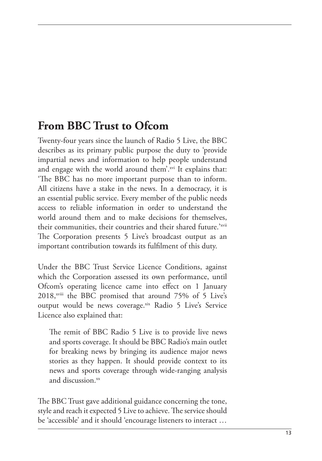## **From BBC Trust to Ofcom**

Twenty-four years since the launch of Radio 5 Live, the BBC describes as its primary public purpose the duty to 'provide impartial news and information to help people understand and engage with the world around them'.<sup>xvi</sup> It explains that: 'he BBC has no more important purpose than to inform. All citizens have a stake in the news. In a democracy, it is an essential public service. Every member of the public needs access to reliable information in order to understand the world around them and to make decisions for themselves, their communities, their countries and their shared future.'<sup>xvii</sup> he Corporation presents 5 Live's broadcast output as an important contribution towards its fulfilment of this duty.

Under the BBC Trust Service Licence Conditions, against which the Corporation assessed its own performance, until Ofcom's operating licence came into effect on 1 January 2018,<sup>xviii</sup> the BBC promised that around 75% of 5 Live's output would be news coverage.xix Radio 5 Live's Service Licence also explained that:

he remit of BBC Radio 5 Live is to provide live news and sports coverage. It should be BBC Radio's main outlet for breaking news by bringing its audience major news stories as they happen. It should provide context to its news and sports coverage through wide-ranging analysis and discussion. $^{xx}$ 

he BBC Trust gave additional guidance concerning the tone, style and reach it expected 5 Live to achieve. The service should be 'accessible' and it should 'encourage listeners to interact …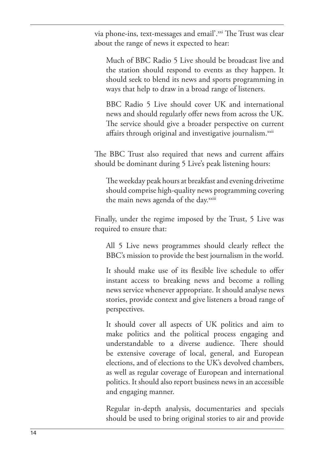via phone-ins, text-messages and email'.xxi The Trust was clear about the range of news it expected to hear:

Much of BBC Radio 5 Live should be broadcast live and the station should respond to events as they happen. It should seek to blend its news and sports programming in ways that help to draw in a broad range of listeners.

BBC Radio 5 Live should cover UK and international news and should regularly offer news from across the UK. he service should give a broader perspective on current affairs through original and investigative journalism.<sup>xxii</sup>

The BBC Trust also required that news and current affairs should be dominant during 5 Live's peak listening hours:

he weekday peak hours at breakfast and evening drivetime should comprise high-quality news programming covering the main news agenda of the day.<sup>xxiii</sup>

Finally, under the regime imposed by the Trust, 5 Live was required to ensure that:

All 5 Live news programmes should clearly reflect the BBC's mission to provide the best journalism in the world.

It should make use of its flexible live schedule to offer instant access to breaking news and become a rolling news service whenever appropriate. It should analyse news stories, provide context and give listeners a broad range of perspectives.

It should cover all aspects of UK politics and aim to make politics and the political process engaging and understandable to a diverse audience. There should be extensive coverage of local, general, and European elections, and of elections to the UK's devolved chambers, as well as regular coverage of European and international politics. It should also report business news in an accessible and engaging manner.

Regular in-depth analysis, documentaries and specials should be used to bring original stories to air and provide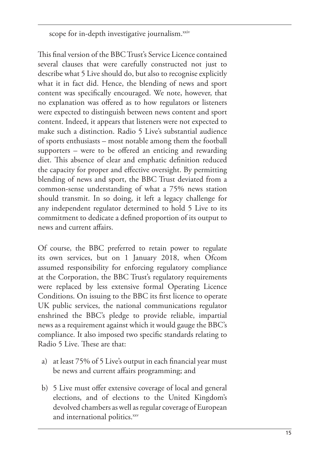scope for in-depth investigative journalism.<sup>xxiv</sup>

This final version of the BBC Trust's Service Licence contained several clauses that were carefully constructed not just to describe what 5 Live should do, but also to recognise explicitly what it in fact did. Hence, the blending of news and sport content was specifically encouraged. We note, however, that no explanation was ofered as to how regulators or listeners were expected to distinguish between news content and sport content. Indeed, it appears that listeners were not expected to make such a distinction. Radio 5 Live's substantial audience of sports enthusiasts – most notable among them the football supporters  $-$  were to be offered an enticing and rewarding diet. This absence of clear and emphatic definition reduced the capacity for proper and efective oversight. By permitting blending of news and sport, the BBC Trust deviated from a common-sense understanding of what a 75% news station should transmit. In so doing, it left a legacy challenge for any independent regulator determined to hold 5 Live to its commitment to dedicate a deined proportion of its output to news and current afairs.

Of course, the BBC preferred to retain power to regulate its own services, but on 1 January 2018, when Ofcom assumed responsibility for enforcing regulatory compliance at the Corporation, the BBC Trust's regulatory requirements were replaced by less extensive formal Operating Licence Conditions. On issuing to the BBC its first licence to operate UK public services, the national communications regulator enshrined the BBC's pledge to provide reliable, impartial news as a requirement against which it would gauge the BBC's compliance. It also imposed two specific standards relating to Radio 5 Live. These are that:

- a) at least  $75\%$  of 5 Live's output in each financial year must be news and current afairs programming; and
- b) 5 Live must offer extensive coverage of local and general elections, and of elections to the United Kingdom's devolved chambers as well as regular coverage of European and international politics.xxv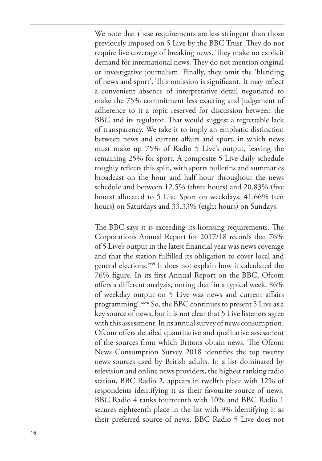We note that these requirements are less stringent than those previously imposed on 5 Live by the BBC Trust. hey do not require live coverage of breaking news. They make no explicit demand for international news. They do not mention original or investigative journalism. Finally, they omit the 'blending of news and sport'. This omission is significant. It may reflect a convenient absence of interpretative detail negotiated to make the 75% commitment less exacting and judgement of adherence to it a topic reserved for discussion between the BBC and its regulator. That would suggest a regrettable lack of transparency. We take it to imply an emphatic distinction between news and current afairs and sport, in which news must make up 75% of Radio 5 Live's output, leaving the remaining 25% for sport. A composite 5 Live daily schedule roughly reflects this split, with sports bulletins and summaries broadcast on the hour and half hour throughout the news schedule and between 12.5% (three hours) and 20.83% (five hours) allocated to 5 Live Sport on weekdays, 41.66% (ten hours) on Saturdays and 33.33% (eight hours) on Sundays.

The BBC says it is exceeding its licensing requirements. The Corporation's Annual Report for 2017/18 records that 76% of 5 Live's output in the latest financial year was news coverage and that the station fulfilled its obligation to cover local and general elections.<sup>xxvi</sup> It does not explain how it calculated the 76% figure. In its first Annual Report on the BBC, Ofcom offers a different analysis, noting that 'in a typical week, 86% of weekday output on 5 Live was news and current afairs programming'. xxvii So, the BBC continues to present 5 Live as a key source of news, but it is not clear that 5 Live listeners agree with this assessment. In its annual survey of news consumption, Ofcom offers detailed quantitative and qualitative assessment of the sources from which Britons obtain news. The Ofcom News Consumption Survey 2018 identifies the top twenty news sources used by British adults. In a list dominated by television and online news providers, the highest ranking radio station, BBC Radio 2, appears in twelfth place with 12% of respondents identifying it as their favourite source of news. BBC Radio 4 ranks fourteenth with 10% and BBC Radio 1 secures eighteenth place in the list with 9% identifying it as their preferred source of news. BBC Radio 5 Live does not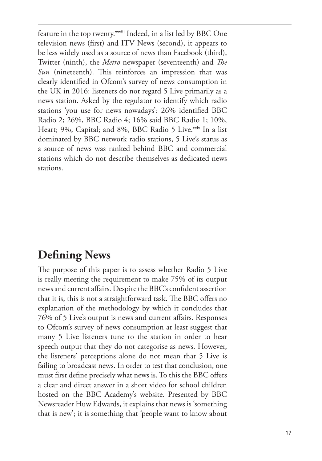feature in the top twenty.<sup>xxviii</sup> Indeed, in a list led by BBC One television news (first) and ITV News (second), it appears to be less widely used as a source of news than Facebook (third), Twitter (ninth), the *Metro* newspaper (seventeenth) and *The Sun* (nineteenth). This reinforces an impression that was clearly identified in Ofcom's survey of news consumption in the UK in 2016: listeners do not regard 5 Live primarily as a news station. Asked by the regulator to identify which radio stations 'you use for news nowadays': 26% identified BBC Radio 2; 26%, BBC Radio 4; 16% said BBC Radio 1; 10%, Heart; 9%, Capital; and 8%, BBC Radio 5 Live.<sup>xxix</sup> In a list dominated by BBC network radio stations, 5 Live's status as a source of news was ranked behind BBC and commercial stations which do not describe themselves as dedicated news stations.

## **Defining News**

he purpose of this paper is to assess whether Radio 5 Live is really meeting the requirement to make 75% of its output news and current affairs. Despite the BBC's confident assertion that it is, this is not a straightforward task. The BBC offers no explanation of the methodology by which it concludes that 76% of 5 Live's output is news and current afairs. Responses to Ofcom's survey of news consumption at least suggest that many 5 Live listeners tune to the station in order to hear speech output that they do not categorise as news. However, the listeners' perceptions alone do not mean that 5 Live is failing to broadcast news. In order to test that conclusion, one must first define precisely what news is. To this the BBC offers a clear and direct answer in a short video for school children hosted on the BBC Academy's website. Presented by BBC Newsreader Huw Edwards, it explains that news is 'something that is new'; it is something that 'people want to know about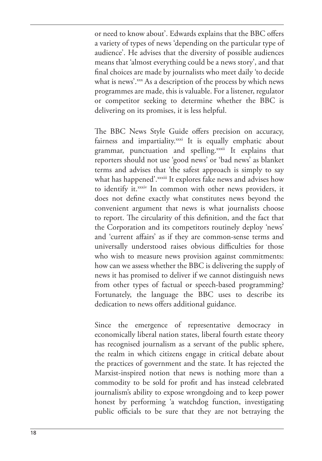or need to know about'. Edwards explains that the BBC ofers a variety of types of news 'depending on the particular type of audience'. He advises that the diversity of possible audiences means that 'almost everything could be a news story', and that final choices are made by journalists who meet daily 'to decide what is news'.xxx As a description of the process by which news programmes are made, this is valuable. For a listener, regulator or competitor seeking to determine whether the BBC is delivering on its promises, it is less helpful.

The BBC News Style Guide offers precision on accuracy, fairness and impartiality.xxxi It is equally emphatic about grammar, punctuation and spelling.xxxii It explains that reporters should not use 'good news' or 'bad news' as blanket terms and advises that 'the safest approach is simply to say what has happened'. xxxiii It explores fake news and advises how to identify it.xxxiv In common with other news providers, it does not define exactly what constitutes news beyond the convenient argument that news is what journalists choose to report. The circularity of this definition, and the fact that the Corporation and its competitors routinely deploy 'news' and 'current afairs' as if they are common-sense terms and universally understood raises obvious difficulties for those who wish to measure news provision against commitments: how can we assess whether the BBC is delivering the supply of news it has promised to deliver if we cannot distinguish news from other types of factual or speech-based programming? Fortunately, the language the BBC uses to describe its dedication to news offers additional guidance.

Since the emergence of representative democracy in economically liberal nation states, liberal fourth estate theory has recognised journalism as a servant of the public sphere, the realm in which citizens engage in critical debate about the practices of government and the state. It has rejected the Marxist-inspired notion that news is nothing more than a commodity to be sold for profit and has instead celebrated journalism's ability to expose wrongdoing and to keep power honest by performing 'a watchdog function, investigating public officials to be sure that they are not betraying the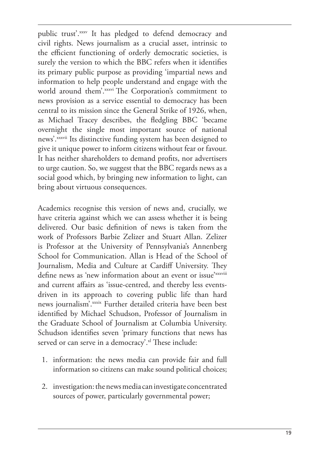public trust'.xxxv It has pledged to defend democracy and civil rights. News journalism as a crucial asset, intrinsic to the efficient functioning of orderly democratic societies, is surely the version to which the BBC refers when it identifies its primary public purpose as providing 'impartial news and information to help people understand and engage with the world around them'. xxxvi The Corporation's commitment to news provision as a service essential to democracy has been central to its mission since the General Strike of 1926, when, as Michael Tracey describes, the ledgling BBC 'became overnight the single most important source of national news'. xxxvii Its distinctive funding system has been designed to give it unique power to inform citizens without fear or favour. It has neither shareholders to demand profits, nor advertisers to urge caution. So, we suggest that the BBC regards news as a social good which, by bringing new information to light, can bring about virtuous consequences.

Academics recognise this version of news and, crucially, we have criteria against which we can assess whether it is being delivered. Our basic definition of news is taken from the work of Professors Barbie Zelizer and Stuart Allan. Zelizer is Professor at the University of Pennsylvania's Annenberg School for Communication. Allan is Head of the School of Journalism, Media and Culture at Cardiff University. They define news as 'new information about an event or issue'xxxviii and current affairs as 'issue-centred, and thereby less eventsdriven in its approach to covering public life than hard news journalism'.xxxix Further detailed criteria have been best identified by Michael Schudson, Professor of Journalism in the Graduate School of Journalism at Columbia University. Schudson identifies seven 'primary functions that news has served or can serve in a democracy'.<sup>xl</sup> These include:

- 1. information: the news media can provide fair and full information so citizens can make sound political choices;
- 2. investigation: the news media can investigate concentrated sources of power, particularly governmental power;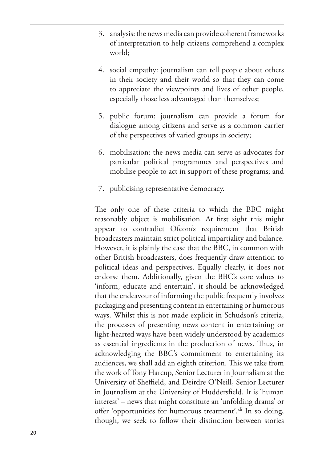- 3. analysis: the news media can provide coherent frameworks of interpretation to help citizens comprehend a complex world;
- 4. social empathy: journalism can tell people about others in their society and their world so that they can come to appreciate the viewpoints and lives of other people, especially those less advantaged than themselves;
- 5. public forum: journalism can provide a forum for dialogue among citizens and serve as a common carrier of the perspectives of varied groups in society;
- 6. mobilisation: the news media can serve as advocates for particular political programmes and perspectives and mobilise people to act in support of these programs; and
- 7. publicising representative democracy.

The only one of these criteria to which the BBC might reasonably object is mobilisation. At first sight this might appear to contradict Ofcom's requirement that British broadcasters maintain strict political impartiality and balance. However, it is plainly the case that the BBC, in common with other British broadcasters, does frequently draw attention to political ideas and perspectives. Equally clearly, it does not endorse them. Additionally, given the BBC's core values to 'inform, educate and entertain', it should be acknowledged that the endeavour of informing the public frequently involves packaging and presenting content in entertaining or humorous ways. Whilst this is not made explicit in Schudson's criteria, the processes of presenting news content in entertaining or light-hearted ways have been widely understood by academics as essential ingredients in the production of news. Thus, in acknowledging the BBC's commitment to entertaining its audiences, we shall add an eighth criterion. This we take from the work of Tony Harcup, Senior Lecturer in Journalism at the University of Sheffield, and Deirdre O'Neill, Senior Lecturer in Journalism at the University of Huddersfield. It is 'human interest' – news that might constitute an 'unfolding drama' or offer 'opportunities for humorous treatment'.<sup>xli</sup> In so doing, though, we seek to follow their distinction between stories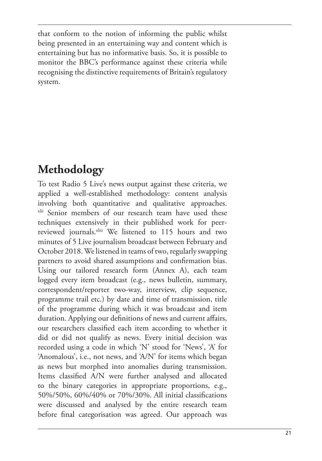that conform to the notion of informing the public whilst being presented in an entertaining way and content which is entertaining but has no informative basis. So, it is possible to monitor the BBC's performance against these criteria while recognising the distinctive requirements of Britain's regulatory system.

## **Methodology**

To test Radio 5 Live's news output against these criteria, we applied a well-established methodology: content analysis involving both quantitative and qualitative approaches. xlii Senior members of our research team have used these techniques extensively in their published work for peerreviewed journals.xliii We listened to 115 hours and two minutes of 5 Live journalism broadcast between February and October 2018. We listened in teams of two, regularly swapping partners to avoid shared assumptions and confirmation bias. Using our tailored research form (Annex A), each team logged every item broadcast (e.g., news bulletin, summary, correspondent/reporter two-way, interview, clip sequence, programme trail etc.) by date and time of transmission, title of the programme during which it was broadcast and item duration. Applying our definitions of news and current affairs, our researchers classified each item according to whether it did or did not qualify as news. Every initial decision was recorded using a code in which 'N' stood for 'News', 'A' for 'Anomalous', i.e., not news, and 'A/N' for items which began as news but morphed into anomalies during transmission. Items classified A/N were further analysed and allocated to the binary categories in appropriate proportions, e.g., 50%/50%, 60%/40% or 70%/30%. All initial classifications were discussed and analysed by the entire research team before final categorisation was agreed. Our approach was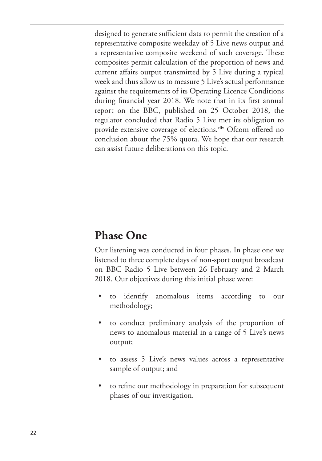designed to generate sufficient data to permit the creation of a representative composite weekday of 5 Live news output and a representative composite weekend of such coverage. These composites permit calculation of the proportion of news and current afairs output transmitted by 5 Live during a typical week and thus allow us to measure 5 Live's actual performance against the requirements of its Operating Licence Conditions during financial year 2018. We note that in its first annual report on the BBC, published on 25 October 2018, the regulator concluded that Radio 5 Live met its obligation to provide extensive coverage of elections.<sup>xliv</sup> Ofcom offered no conclusion about the 75% quota. We hope that our research can assist future deliberations on this topic.

## **Phase One**

Our listening was conducted in four phases. In phase one we listened to three complete days of non-sport output broadcast on BBC Radio 5 Live between 26 February and 2 March 2018. Our objectives during this initial phase were:

- to identify anomalous items according to our methodology;
- to conduct preliminary analysis of the proportion of news to anomalous material in a range of 5 Live's news output;
- to assess 5 Live's news values across a representative sample of output; and
- to refine our methodology in preparation for subsequent phases of our investigation.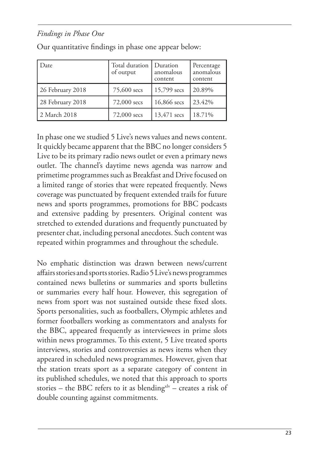#### *Findings in Phase One*

| Date:            | Total duration<br>of output | Duration<br>anomalous<br>content | Percentage<br>anomalous<br>content |
|------------------|-----------------------------|----------------------------------|------------------------------------|
| 26 February 2018 | 75,600 secs                 | 15,799 secs                      | 20.89%                             |
| 28 February 2018 | 72,000 secs                 | 16,866 secs                      | 23.42%                             |
| 2 March 2018     | 72,000 secs                 | 13,471 secs                      | 18.71%                             |

Our quantitative findings in phase one appear below:

In phase one we studied 5 Live's news values and news content. It quickly became apparent that the BBC no longer considers 5 Live to be its primary radio news outlet or even a primary news outlet. The channel's daytime news agenda was narrow and primetime programmes such as Breakfast and Drive focused on a limited range of stories that were repeated frequently. News coverage was punctuated by frequent extended trails for future news and sports programmes, promotions for BBC podcasts and extensive padding by presenters. Original content was stretched to extended durations and frequently punctuated by presenter chat, including personal anecdotes. Such content was repeated within programmes and throughout the schedule.

No emphatic distinction was drawn between news/current afairs stories and sports stories. Radio 5 Live's news programmes contained news bulletins or summaries and sports bulletins or summaries every half hour. However, this segregation of news from sport was not sustained outside these fixed slots. Sports personalities, such as footballers, Olympic athletes and former footballers working as commentators and analysts for the BBC, appeared frequently as interviewees in prime slots within news programmes. To this extent, 5 Live treated sports interviews, stories and controversies as news items when they appeared in scheduled news programmes. However, given that the station treats sport as a separate category of content in its published schedules, we noted that this approach to sports stories – the BBC refers to it as blending $x^1v$  – creates a risk of double counting against commitments.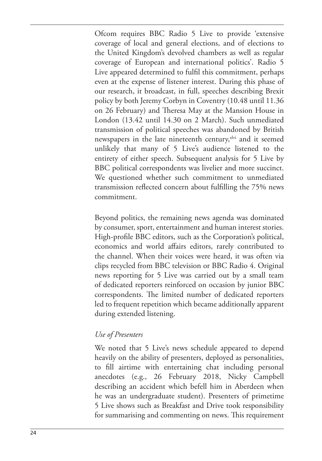Ofcom requires BBC Radio 5 Live to provide 'extensive coverage of local and general elections, and of elections to the United Kingdom's devolved chambers as well as regular coverage of European and international politics'. Radio 5 Live appeared determined to fulfil this commitment, perhaps even at the expense of listener interest. During this phase of our research, it broadcast, in full, speeches describing Brexit policy by both Jeremy Corbyn in Coventry (10.48 until 11.36 on 26 February) and Theresa May at the Mansion House in London (13.42 until 14.30 on 2 March). Such unmediated transmission of political speeches was abandoned by British newspapers in the late nineteenth century, xlvi and it seemed unlikely that many of 5 Live's audience listened to the entirety of either speech. Subsequent analysis for 5 Live by BBC political correspondents was livelier and more succinct. We questioned whether such commitment to unmediated transmission relected concern about fulilling the 75% news commitment.

Beyond politics, the remaining news agenda was dominated by consumer, sport, entertainment and human interest stories. High-profile BBC editors, such as the Corporation's political, economics and world afairs editors, rarely contributed to the channel. When their voices were heard, it was often via clips recycled from BBC television or BBC Radio 4. Original news reporting for 5 Live was carried out by a small team of dedicated reporters reinforced on occasion by junior BBC correspondents. The limited number of dedicated reporters led to frequent repetition which became additionally apparent during extended listening.

#### *Use of Presenters*

We noted that 5 Live's news schedule appeared to depend heavily on the ability of presenters, deployed as personalities, to fill airtime with entertaining chat including personal anecdotes (e.g., 26 February 2018, Nicky Campbell describing an accident which befell him in Aberdeen when he was an undergraduate student). Presenters of primetime 5 Live shows such as Breakfast and Drive took responsibility for summarising and commenting on news. This requirement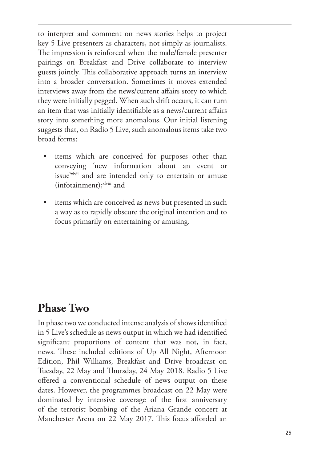to interpret and comment on news stories helps to project key 5 Live presenters as characters, not simply as journalists. he impression is reinforced when the male/female presenter pairings on Breakfast and Drive collaborate to interview guests jointly. This collaborative approach turns an interview into a broader conversation. Sometimes it moves extended interviews away from the news/current affairs story to which they were initially pegged. When such drift occurs, it can turn an item that was initially identifiable as a news/current affairs story into something more anomalous. Our initial listening suggests that, on Radio 5 Live, such anomalous items take two broad forms:

- items which are conceived for purposes other than conveying 'new information about an event or issue'xlvii and are intended only to entertain or amuse (infotainment);<sup>xlviii</sup> and
- items which are conceived as news but presented in such a way as to rapidly obscure the original intention and to focus primarily on entertaining or amusing.

## **Phase Two**

In phase two we conducted intense analysis of shows identified in 5 Live's schedule as news output in which we had identified significant proportions of content that was not, in fact, news. These included editions of Up All Night, Afternoon Edition, Phil Williams, Breakfast and Drive broadcast on Tuesday, 22 May and Thursday, 24 May 2018. Radio 5 Live ofered a conventional schedule of news output on these dates. However, the programmes broadcast on 22 May were dominated by intensive coverage of the first anniversary of the terrorist bombing of the Ariana Grande concert at Manchester Arena on 22 May 2017. This focus afforded an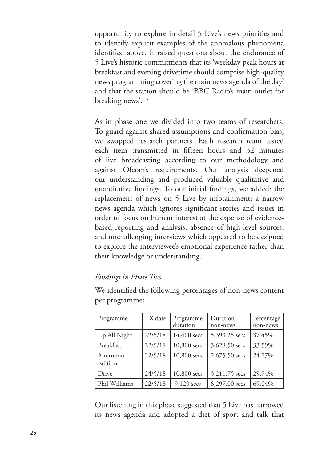opportunity to explore in detail 5 Live's news priorities and to identify explicit examples of the anomalous phenomena identified above. It raised questions about the endurance of 5 Live's historic commitments that its 'weekday peak hours at breakfast and evening drivetime should comprise high-quality news programming covering the main news agenda of the day' and that the station should be 'BBC Radio's main outlet for breaking news'.xlix

As in phase one we divided into two teams of researchers. To guard against shared assumptions and confirmation bias, we swapped research partners. Each research team tested each item transmitted in fifteen hours and 32 minutes of live broadcasting according to our methodology and against Ofcom's requirements. Our analysis deepened our understanding and produced valuable qualitative and quantitative findings. To our initial findings, we added: the replacement of news on 5 Live by infotainment; a narrow news agenda which ignores significant stories and issues in order to focus on human interest at the expense of evidencebased reporting and analysis; absence of high-level sources, and unchallenging interviews which appeared to be designed to explore the interviewee's emotional experience rather than their knowledge or understanding.

#### *Findings in Phase Two*

Programme | TX date | Programme duration Duration non-news Percentage non-news Up All Night 22/5/18 14,400 secs 5,393.25 secs 37.45% Breakfast 22/5/18 10,800 secs 3,628.50 secs 33.59% Afternoon Edition 22/5/18 10,800 secs 2,675.50 secs 24.77% Drive 24/5/18 10,800 secs 3,211.75 secs 29.74% Phil Williams  $\left| \frac{22}{5/18} \right|$  9,120 secs  $\left| \frac{6,297.00 \text{ secs}}{69.04\%} \right|$ 

We identified the following percentages of non-news content per programme:

Our listening in this phase suggested that 5 Live has narrowed its news agenda and adopted a diet of sport and talk that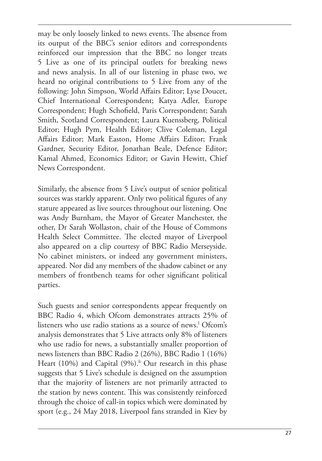may be only loosely linked to news events. The absence from its output of the BBC's senior editors and correspondents reinforced our impression that the BBC no longer treats 5 Live as one of its principal outlets for breaking news and news analysis. In all of our listening in phase two, we heard no original contributions to 5 Live from any of the following: John Simpson, World Afairs Editor; Lyse Doucet, Chief International Correspondent; Katya Adler, Europe Correspondent; Hugh Schofield, Paris Correspondent; Sarah Smith, Scotland Correspondent; Laura Kuenssberg, Political Editor; Hugh Pym, Health Editor; Clive Coleman, Legal Afairs Editor; Mark Easton, Home Afairs Editor; Frank Gardner, Security Editor, Jonathan Beale, Defence Editor; Kamal Ahmed, Economics Editor; or Gavin Hewitt, Chief News Correspondent.

Similarly, the absence from 5 Live's output of senior political sources was starkly apparent. Only two political figures of any stature appeared as live sources throughout our listening. One was Andy Burnham, the Mayor of Greater Manchester, the other, Dr Sarah Wollaston, chair of the House of Commons Health Select Committee. The elected mayor of Liverpool also appeared on a clip courtesy of BBC Radio Merseyside. No cabinet ministers, or indeed any government ministers, appeared. Nor did any members of the shadow cabinet or any members of frontbench teams for other significant political parties.

Such guests and senior correspondents appear frequently on BBC Radio 4, which Ofcom demonstrates attracts 25% of listeners who use radio stations as a source of news.<sup>1</sup> Ofcom's analysis demonstrates that 5 Live attracts only 8% of listeners who use radio for news, a substantially smaller proportion of news listeners than BBC Radio 2 (26%), BBC Radio 1 (16%) Heart (10%) and Capital  $(9\%)$ .<sup>i</sup> Our research in this phase suggests that 5 Live's schedule is designed on the assumption that the majority of listeners are not primarily attracted to the station by news content. This was consistently reinforced through the choice of call-in topics which were dominated by sport (e.g., 24 May 2018, Liverpool fans stranded in Kiev by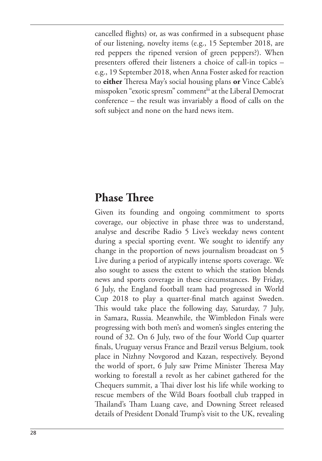cancelled flights) or, as was confirmed in a subsequent phase of our listening, novelty items (e.g., 15 September 2018, are red peppers the ripened version of green peppers?). When presenters offered their listeners a choice of call-in topics e.g., 19 September 2018, when Anna Foster asked for reaction to **either** Theresa May's social housing plans **or** Vince Cable's misspoken "exotic spresm" comment<sup>lii</sup> at the Liberal Democrat  $conference -$  the result was invariably a flood of calls on the soft subject and none on the hard news item.

#### **Phase Three**

Given its founding and ongoing commitment to sports coverage, our objective in phase three was to understand, analyse and describe Radio 5 Live's weekday news content during a special sporting event. We sought to identify any change in the proportion of news journalism broadcast on 5 Live during a period of atypically intense sports coverage. We also sought to assess the extent to which the station blends news and sports coverage in these circumstances. By Friday, 6 July, the England football team had progressed in World Cup 2018 to play a quarter-final match against Sweden. his would take place the following day, Saturday, 7 July, in Samara, Russia. Meanwhile, the Wimbledon Finals were progressing with both men's and women's singles entering the round of 32. On 6 July, two of the four World Cup quarter finals, Uruguay versus France and Brazil versus Belgium, took place in Nizhny Novgorod and Kazan, respectively. Beyond the world of sport, 6 July saw Prime Minister Theresa May working to forestall a revolt as her cabinet gathered for the Chequers summit, a Thai diver lost his life while working to rescue members of the Wild Boars football club trapped in Thailand's Tham Luang cave, and Downing Street released details of President Donald Trump's visit to the UK, revealing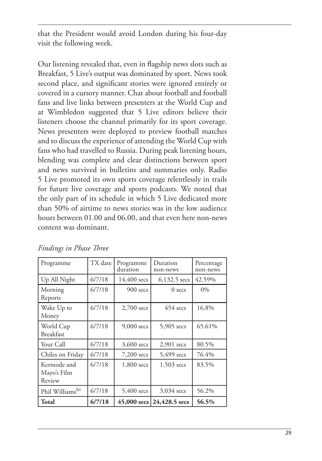that the President would avoid London during his four-day visit the following week.

Our listening revealed that, even in lagship news slots such as Breakfast, 5 Live's output was dominated by sport. News took second place, and significant stories were ignored entirely or covered in a cursory manner. Chat about football and football fans and live links between presenters at the World Cup and at Wimbledon suggested that 5 Live editors believe their listeners choose the channel primarily for its sport coverage. News presenters were deployed to preview football matches and to discuss the experience of attending the World Cup with fans who had travelled to Russia. During peak listening hours, blending was complete and clear distinctions between sport and news survived in bulletins and summaries only. Radio 5 Live promoted its own sports coverage relentlessly in trails for future live coverage and sports podcasts. We noted that the only part of its schedule in which 5 Live dedicated more than 50% of airtime to news stories was in the low audience hours between 01.00 and 06.00, and that even here non-news content was dominant.

| Programme                            | TX date | Programme<br>duration | Duration<br>non-news        | Percentage<br>non-news |
|--------------------------------------|---------|-----------------------|-----------------------------|------------------------|
| Up All Night                         | 6/7/18  | $14,400 \text{ sec}$  | $6,132.5$ secs              | 42.59%                 |
| Morning<br>Reports                   | 6/7/18  | 900 secs              | $0$ secs                    | $0\%$                  |
| Wake Up to<br>Money                  | 6/7/18  | $2,700$ secs          | $454 \text{ sec}$           | 16.8%                  |
| World Cup<br><b>Breakfast</b>        | 6/7/18  | 9,000 secs            | 5,905 secs                  | 65.61%                 |
| Your Call                            | 6/7/18  | $3,600$ secs          | $2,901$ secs                | 80.5%                  |
| Chiles on Friday                     | 6/7/18  | $7,200$ secs          | $5,499$ secs                | 76.4%                  |
| Kermode and<br>Mayo's Film<br>Review | 6/7/18  | 1,800 secs            | 1,503 secs                  | 83.5%                  |
| Phil Williamsliii                    | 6/7/18  | $5,400$ secs          | $3,034$ secs                | 56.2%                  |
| Total                                | 6/7/18  |                       | 45,000 secs $24,428.5$ secs | 56.5%                  |

*Findings in Phase Three*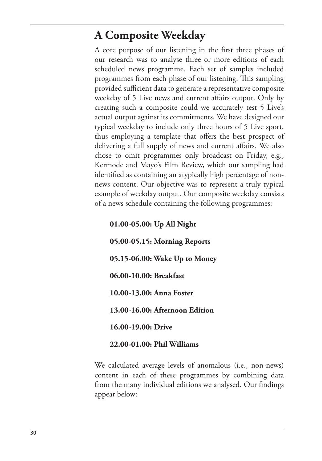## **A Composite Weekday**

A core purpose of our listening in the first three phases of our research was to analyse three or more editions of each scheduled news programme. Each set of samples included programmes from each phase of our listening. This sampling provided sufficient data to generate a representative composite weekday of 5 Live news and current afairs output. Only by creating such a composite could we accurately test 5 Live's actual output against its commitments. We have designed our typical weekday to include only three hours of 5 Live sport, thus employing a template that offers the best prospect of delivering a full supply of news and current affairs. We also chose to omit programmes only broadcast on Friday, e.g., Kermode and Mayo's Film Review, which our sampling had identified as containing an atypically high percentage of nonnews content. Our objective was to represent a truly typical example of weekday output. Our composite weekday consists of a news schedule containing the following programmes:

**01.00-05.00: Up All Night 05.00-05.15: Morning Reports 05.15-06.00: Wake Up to Money 06.00-10.00: Breakfast 10.00-13.00: Anna Foster 13.00-16.00: Afternoon Edition 16.00-19.00: Drive**

**22.00-01.00: Phil Williams**

We calculated average levels of anomalous (i.e., non-news) content in each of these programmes by combining data from the many individual editions we analysed. Our findings appear below: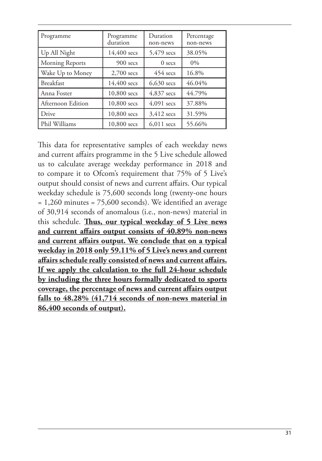| Programme         | Programme<br>duration | Duration<br>non-news | Percentage<br>non-news |
|-------------------|-----------------------|----------------------|------------------------|
| Up All Night      | 14,400 secs           | 5,479 secs           | 38.05%                 |
| Morning Reports   | $900$ secs            | $0$ secs             | $0\%$                  |
| Wake Up to Money  | $2,700$ secs          | $454$ secs           | 16.8%                  |
| Breakfast         | 14,400 secs           | $6,630$ secs         | 46.04%                 |
| Anna Foster       | 10,800 secs           | $4,837$ secs         | 44.79%                 |
| Afternoon Edition | 10,800 secs           | $4,091$ secs         | 37.88%                 |
| Drive             | 10,800 secs           | $3,412$ secs         | 31.59%                 |
| Phil Williams     | 10,800 secs           | $6,011$ secs         | 55.66%                 |

his data for representative samples of each weekday news and current afairs programme in the 5 Live schedule allowed us to calculate average weekday performance in 2018 and to compare it to Ofcom's requirement that 75% of 5 Live's output should consist of news and current afairs. Our typical weekday schedule is 75,600 seconds long (twenty-one hours  $= 1,260$  minutes  $= 75,600$  seconds). We identified an average of 30,914 seconds of anomalous (i.e., non-news) material in this schedule. Thus, our typical weekday of 5 Live news **and current afairs output consists of 40.89% non-news and current afairs output. We conclude that on a typical weekday in 2018 only 59.11% of 5 Live's news and current afairs schedule really consisted of news and current afairs. If we apply the calculation to the full 24-hour schedule by including the three hours formally dedicated to sports coverage, the percentage of news and current afairs output falls to 48.28% (41,714 seconds of non-news material in 86,400 seconds of output).**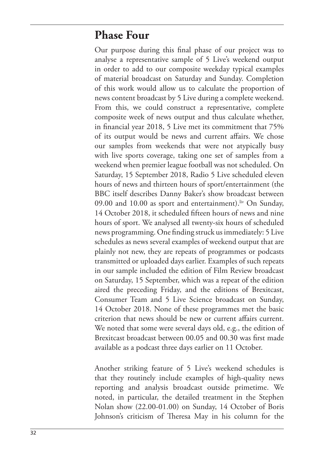## **Phase Four**

Our purpose during this final phase of our project was to analyse a representative sample of 5 Live's weekend output in order to add to our composite weekday typical examples of material broadcast on Saturday and Sunday. Completion of this work would allow us to calculate the proportion of news content broadcast by 5 Live during a complete weekend. From this, we could construct a representative, complete composite week of news output and thus calculate whether, in financial year 2018, 5 Live met its commitment that 75% of its output would be news and current afairs. We chose our samples from weekends that were not atypically busy with live sports coverage, taking one set of samples from a weekend when premier league football was not scheduled. On Saturday, 15 September 2018, Radio 5 Live scheduled eleven hours of news and thirteen hours of sport/entertainment (the BBC itself describes Danny Baker's show broadcast between 09.00 and 10.00 as sport and entertainment).  $\frac{div}{dv}$  On Sunday, 14 October 2018, it scheduled fifteen hours of news and nine hours of sport. We analysed all twenty-six hours of scheduled news programming. One finding struck us immediately: 5 Live schedules as news several examples of weekend output that are plainly not new, they are repeats of programmes or podcasts transmitted or uploaded days earlier. Examples of such repeats in our sample included the edition of Film Review broadcast on Saturday, 15 September, which was a repeat of the edition aired the preceding Friday, and the editions of Brexitcast, Consumer Team and 5 Live Science broadcast on Sunday, 14 October 2018. None of these programmes met the basic criterion that news should be new or current afairs current. We noted that some were several days old, e.g., the edition of Brexitcast broadcast between 00.05 and 00.30 was first made available as a podcast three days earlier on 11 October.

Another striking feature of 5 Live's weekend schedules is that they routinely include examples of high-quality news reporting and analysis broadcast outside primetime. We noted, in particular, the detailed treatment in the Stephen Nolan show (22.00-01.00) on Sunday, 14 October of Boris Johnson's criticism of Theresa May in his column for the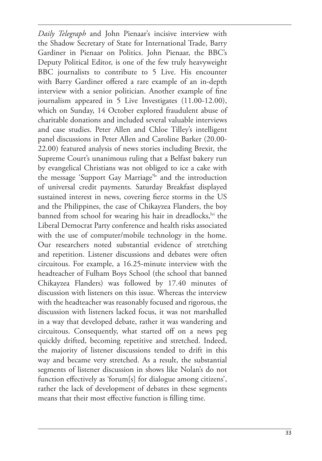*Daily Telegraph* and John Pienaar's incisive interview with the Shadow Secretary of State for International Trade, Barry Gardiner in Pienaar on Politics. John Pienaar, the BBC's Deputy Political Editor, is one of the few truly heavyweight BBC journalists to contribute to 5 Live. His encounter with Barry Gardiner offered a rare example of an in-depth interview with a senior politician. Another example of fine journalism appeared in 5 Live Investigates (11.00-12.00), which on Sunday, 14 October explored fraudulent abuse of charitable donations and included several valuable interviews and case studies. Peter Allen and Chloe Tilley's intelligent panel discussions in Peter Allen and Caroline Barker (20.00- 22.00) featured analysis of news stories including Brexit, the Supreme Court's unanimous ruling that a Belfast bakery run by evangelical Christians was not obliged to ice a cake with the message 'Support Gay Marriage'<sup>lv</sup> and the introduction of universal credit payments. Saturday Breakfast displayed sustained interest in news, covering fierce storms in the US and the Philippines, the case of Chikayzea Flanders, the boy banned from school for wearing his hair in dreadlocks,  $\frac{dv}{dt}$  the Liberal Democrat Party conference and health risks associated with the use of computer/mobile technology in the home. Our researchers noted substantial evidence of stretching and repetition. Listener discussions and debates were often circuitous. For example, a 16.25-minute interview with the headteacher of Fulham Boys School (the school that banned Chikayzea Flanders) was followed by 17.40 minutes of discussion with listeners on this issue. Whereas the interview with the headteacher was reasonably focused and rigorous, the discussion with listeners lacked focus, it was not marshalled in a way that developed debate, rather it was wandering and circuitous. Consequently, what started off on a news peg quickly drifted, becoming repetitive and stretched. Indeed, the majority of listener discussions tended to drift in this way and became very stretched. As a result, the substantial segments of listener discussion in shows like Nolan's do not function effectively as 'forum[s] for dialogue among citizens', rather the lack of development of debates in these segments means that their most effective function is filling time.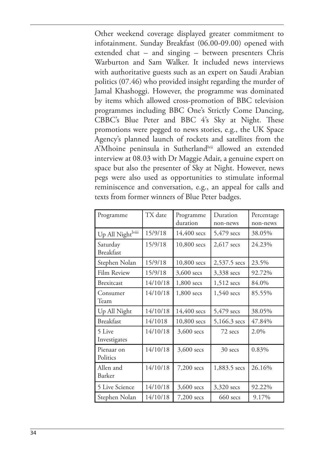Other weekend coverage displayed greater commitment to infotainment. Sunday Breakfast (06.00-09.00) opened with extended chat – and singing – between presenters Chris Warburton and Sam Walker. It included news interviews with authoritative guests such as an expert on Saudi Arabian politics (07.46) who provided insight regarding the murder of Jamal Khashoggi. However, the programme was dominated by items which allowed cross-promotion of BBC television programmes including BBC One's Strictly Come Dancing, CBBC's Blue Peter and BBC 4's Sky at Night. These promotions were pegged to news stories, e.g., the UK Space Agency's planned launch of rockets and satellites from the A'Mhoine peninsula in Sutherland<sup>lvii</sup> allowed an extended interview at 08.03 with Dr Maggie Adair, a genuine expert on space but also the presenter of Sky at Night. However, news pegs were also used as opportunities to stimulate informal reminiscence and conversation, e.g., an appeal for calls and texts from former winners of Blue Peter badges.

| Programme                    | TX date  | Programme<br>duration | Duration<br>non-news | Percentage<br>non-news |
|------------------------------|----------|-----------------------|----------------------|------------------------|
| Up All Night viii            | 15/9/18  | 14,400 secs           | 5,479 secs           | 38.05%                 |
| Saturday<br><b>Breakfast</b> | 15/9/18  | 10,800 secs           | $2,617$ secs         | 24.23%                 |
| Stephen Nolan                | 15/9/18  | 10,800 secs           | 2,537.5 secs         | 23.5%                  |
| Film Review                  | 15/9/18  | 3,600 secs            | 3,338 secs           | 92.72%                 |
| <b>Brexitcast</b>            | 14/10/18 | 1,800 secs            | 1,512 secs           | 84.0%                  |
| Consumer<br>Team             | 14/10/18 | 1,800 secs            | $1,540$ secs         | 85.55%                 |
| Up All Night                 | 14/10/18 | 14,400 secs           | 5,479 secs           | 38.05%                 |
| Breakfast                    | 14/1018  | 10,800 secs           | 5,166.3 secs         | 47.84%                 |
| 5 Live<br>Investigates       | 14/10/18 | $3,600$ secs          | 72 secs              | 2.0%                   |
| Pienaar on<br>Politics       | 14/10/18 | $3,600$ secs          | 30 secs              | 0.83%                  |
| Allen and<br>Barker          | 14/10/18 | 7,200 secs            | 1,883.5 secs         | 26.16%                 |
| 5 Live Science               | 14/10/18 | 3,600 secs            | 3,320 secs           | 92.22%                 |
| Stephen Nolan                | 14/10/18 | 7,200 secs            | $660$ secs           | 9.17%                  |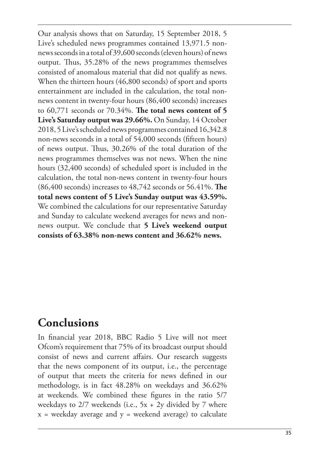Our analysis shows that on Saturday, 15 September 2018, 5 Live's scheduled news programmes contained 13,971.5 nonnews seconds in a total of 39,600 seconds (eleven hours) of news output. Thus, 35.28% of the news programmes themselves consisted of anomalous material that did not qualify as news. When the thirteen hours (46,800 seconds) of sport and sports entertainment are included in the calculation, the total nonnews content in twenty-four hours (86,400 seconds) increases to 60,771 seconds or 70.34%. **ǰe total news content of 5 Live's Saturday output was 29.66%.** On Sunday, 14 October 2018, 5 Live's scheduled news programmes contained 16,342.8 non-news seconds in a total of 54,000 seconds (fifteen hours) of news output. Thus, 30.26% of the total duration of the news programmes themselves was not news. When the nine hours (32,400 seconds) of scheduled sport is included in the calculation, the total non-news content in twenty-four hours (86,400 seconds) increases to 48,742 seconds or 56.41%. **ǰe total news content of 5 Live's Sunday output was 43.59%.** We combined the calculations for our representative Saturday and Sunday to calculate weekend averages for news and nonnews output. We conclude that **5 Live's weekend output consists of 63.38% non-news content and 36.62% news.**

#### **Conclusions**

In financial year 2018, BBC Radio 5 Live will not meet Ofcom's requirement that 75% of its broadcast output should consist of news and current afairs. Our research suggests that the news component of its output, i.e., the percentage of output that meets the criteria for news defined in our methodology, is in fact 48.28% on weekdays and 36.62% at weekends. We combined these figures in the ratio 5/7 weekdays to  $2/7$  weekends (i.e.,  $5x + 2y$  divided by 7 where  $x =$  weekday average and  $y =$  weekend average) to calculate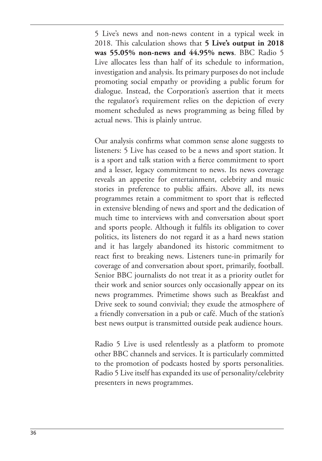5 Live's news and non-news content in a typical week in 2018. his calculation shows that **5 Live's output in 2018 was 55.05% non-news and 44.95% news**. BBC Radio 5 Live allocates less than half of its schedule to information, investigation and analysis. Its primary purposes do not include promoting social empathy or providing a public forum for dialogue. Instead, the Corporation's assertion that it meets the regulator's requirement relies on the depiction of every moment scheduled as news programming as being filled by actual news. This is plainly untrue.

Our analysis confirms what common sense alone suggests to listeners: 5 Live has ceased to be a news and sport station. It is a sport and talk station with a fierce commitment to sport and a lesser, legacy commitment to news. Its news coverage reveals an appetite for entertainment, celebrity and music stories in preference to public afairs. Above all, its news programmes retain a commitment to sport that is relected in extensive blending of news and sport and the dedication of much time to interviews with and conversation about sport and sports people. Although it fulfils its obligation to cover politics, its listeners do not regard it as a hard news station and it has largely abandoned its historic commitment to react first to breaking news. Listeners tune-in primarily for coverage of and conversation about sport, primarily, football. Senior BBC journalists do not treat it as a priority outlet for their work and senior sources only occasionally appear on its news programmes. Primetime shows such as Breakfast and Drive seek to sound convivial; they exude the atmosphere of a friendly conversation in a pub or café. Much of the station's best news output is transmitted outside peak audience hours.

Radio 5 Live is used relentlessly as a platform to promote other BBC channels and services. It is particularly committed to the promotion of podcasts hosted by sports personalities. Radio 5 Live itself has expanded its use of personality/celebrity presenters in news programmes.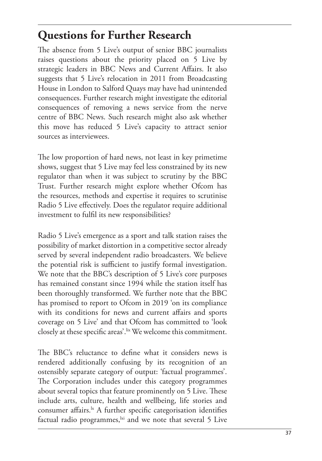## **Questions for Further Research**

he absence from 5 Live's output of senior BBC journalists raises questions about the priority placed on 5 Live by strategic leaders in BBC News and Current Afairs. It also suggests that 5 Live's relocation in 2011 from Broadcasting House in London to Salford Quays may have had unintended consequences. Further research might investigate the editorial consequences of removing a news service from the nerve centre of BBC News. Such research might also ask whether this move has reduced 5 Live's capacity to attract senior sources as interviewees.

he low proportion of hard news, not least in key primetime shows, suggest that 5 Live may feel less constrained by its new regulator than when it was subject to scrutiny by the BBC Trust. Further research might explore whether Ofcom has the resources, methods and expertise it requires to scrutinise Radio 5 Live efectively. Does the regulator require additional investment to fulfil its new responsibilities?

Radio 5 Live's emergence as a sport and talk station raises the possibility of market distortion in a competitive sector already served by several independent radio broadcasters. We believe the potential risk is sufficient to justify formal investigation. We note that the BBC's description of 5 Live's core purposes has remained constant since 1994 while the station itself has been thoroughly transformed. We further note that the BBC has promised to report to Ofcom in 2019 'on its compliance with its conditions for news and current affairs and sports coverage on 5 Live' and that Ofcom has committed to 'look closely at these specific areas'.<sup>lix</sup> We welcome this commitment.

The BBC's reluctance to define what it considers news is rendered additionally confusing by its recognition of an ostensibly separate category of output: 'factual programmes'. he Corporation includes under this category programmes about several topics that feature prominently on 5 Live. These include arts, culture, health and wellbeing, life stories and consumer affairs.<sup>1x</sup> A further specific categorisation identifies factual radio programmes, $\frac{dx}{dt}$  and we note that several 5 Live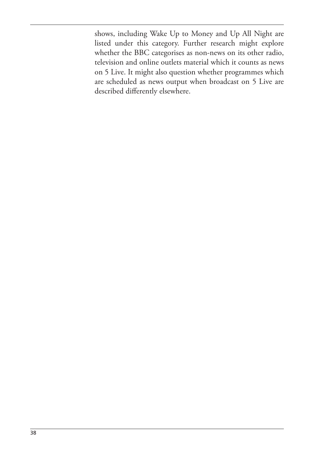shows, including Wake Up to Money and Up All Night are listed under this category. Further research might explore whether the BBC categorises as non-news on its other radio, television and online outlets material which it counts as news on 5 Live. It might also question whether programmes which are scheduled as news output when broadcast on 5 Live are described diferently elsewhere.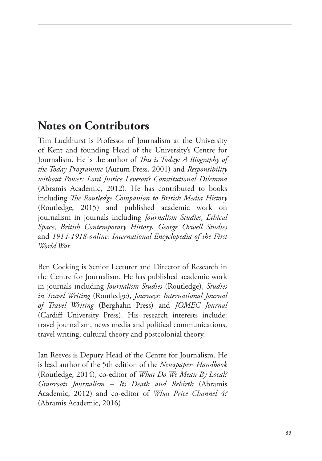#### **Notes on Contributors**

Tim Luckhurst is Professor of Journalism at the University of Kent and founding Head of the University's Centre for Journalism. He is the author of *This is Today: A Biography of the Today Programme* (Aurum Press, 2001) and *Responsibility without Power: Lord Justice Leveson's Constitutional Dilemma* (Abramis Academic, 2012). He has contributed to books including *he Routledge Companion to British Media History* (Routledge, 2015) and published academic work on journalism in journals including *Journalism Studies*, *Ethical Space*, *British Contemporary History*, *George Orwell Studies* and *1914-1918-online: International Encyclopedia of the First World War*.

Ben Cocking is Senior Lecturer and Director of Research in the Centre for Journalism. He has published academic work in journals including *Journalism Studies* (Routledge), *Studies in Travel Writing* (Routledge), *Journeys: International Journal of Travel Writing* (Berghahn Press) and *JOMEC Journal* (Cardif University Press). His research interests include: travel journalism, news media and political communications, travel writing, cultural theory and postcolonial theory.

Ian Reeves is Deputy Head of the Centre for Journalism. He is lead author of the 5th edition of the *Newspapers Handbook* (Routledge, 2014), co-editor of *What Do We Mean By Local? Grassroots Journalism – Its Death and Rebirth* (Abramis Academic, 2012) and co-editor of *What Price Channel 4?* (Abramis Academic, 2016).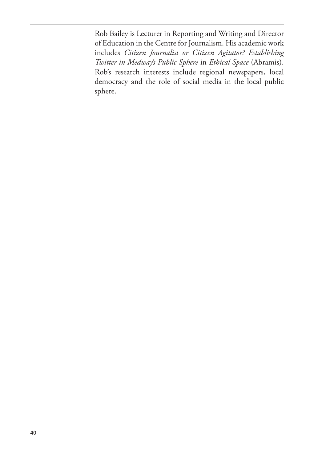Rob Bailey is Lecturer in Reporting and Writing and Director of Education in the Centre for Journalism. His academic work includes *Citizen Journalist or Citizen Agitator? Establishing Twitter in Medway's Public Sphere* in *Ethical Space* (Abramis). Rob's research interests include regional newspapers, local democracy and the role of social media in the local public sphere.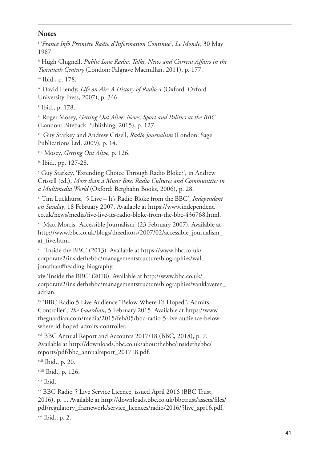#### **Notes**

i '*France Info Première Radio d'Information Continue*', *Le Monde*, 30 May 1987.

ii Hugh Chignell, *Public Issue Radio: Talks, News and Current Afairs in the Twentieth Century* (London: Palgrave Macmillan, 2011), p. 177.

iii Ibid., p. 178.

iv David Hendy, *Life on Air: A History of Radio 4* (Oxford: Oxford University Press, 2007), p. 346.

v Ibid., p. 178.

vi Roger Mosey, *Getting Out Alive: News, Sport and Politics at the BBC* (London: Biteback Publishing, 2015), p. 127.

vii Guy Starkey and Andrew Crisell, *Radio Journalism* (London: Sage Publications Ltd, 2009), p. 14.

viii Mosey, *Getting Out Alive*, p. 126.

ix Ibid., pp. 127-28.

<sup>x</sup> Guy Starkey, 'Extending Choice Through Radio Bloke?', in Andrew Crissell (ed.), *More than a Music Box: Radio Cultures and Communities in a Multimedia World* (Oxford: Berghahn Books, 2006), p. 28.

xi Tim Luckhurst, '5 Live – It's Radio Bloke from the BBC', *Independent on Sunday*, 18 February 2007. Available at https://www.independent. co.uk/news/media/five-live-its-radio-bloke-from-the-bbc-436768.html.

xii Matt Morris, 'Accessible Journalism' (23 February 2007). Available at http://www.bbc.co.uk/blogs/theeditors/2007/02/accessible\_journalism\_ at five.html.

xiii 'Inside the BBC' (2013). Available at https://www.bbc.co.uk/ corporate2/insidethebbc/managementstructure/biographies/wall\_ jonathan#heading-biography.

xiv 'Inside the BBC' (2018). Available at http://www.bbc.co.uk/ corporate2/insidethebbc/managementstructure/biographies/vanklaveren\_ adrian.

xv 'BBC Radio 5 Live Audience "Below Where I'd Hoped", Admits Controller', *he Guardian*, 5 February 2015. Available at https://www. theguardian.com/media/2015/feb/05/bbc-radio-5-live-audience-belowwhere-id-hoped-admits-controller.

xvi BBC Annual Report and Accounts 2017/18 (BBC, 2018), p. 7. Available at http://downloads.bbc.co.uk/aboutthebbc/insidethebbc/ reports/pdf/bbc\_annualreport\_201718.pdf.

xvii Ibid., p. 20.

xviii Ibid., p. 126.

xix Ibid.

xx BBC Radio 5 Live Service Licence, issued April 2016 (BBC Trust, 2016), p. 1. Available at http://downloads.bbc.co.uk/bbctrust/assets/files/ pdf/regulatory\_framework/service\_licences/radio/2016/5live\_apr16.pdf. xxi Ibid., p. 2.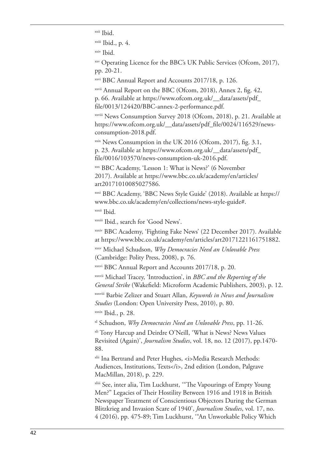xxii Ibid.

xxiii Ibid., p. 4.

xxiv Ibid.

xxv Operating Licence for the BBC's UK Public Services (Ofcom, 2017), pp. 20-21.

xxvi BBC Annual Report and Accounts 2017/18, p. 126.

xxvii Annual Report on the BBC (Ofcom, 2018), Annex 2, fig. 42, p. 66. Available at https://www.ofcom.org.uk/\_\_data/assets/pdf\_ file/0013/124420/BBC-annex-2-performance.pdf.

xxviii News Consumption Survey 2018 (Ofcom, 2018), p. 21. Available at https://www.ofcom.org.uk/\_data/assets/pdf\_file/0024/116529/newsconsumption-2018.pdf.

 $x$ xxix News Consumption in the UK 2016 (Ofcom, 2017), fig. 3.1, p. 23. Available at https://www.ofcom.org.uk/\_\_data/assets/pdf\_ file/0016/103570/news-consumption-uk-2016.pdf.

xxx BBC Academy, 'Lesson 1: What is News?' (6 November 2017). Available at https://www.bbc.co.uk/academy/en/articles/ art20171010085027586.

xxxi BBC Academy, 'BBC News Style Guide' (2018). Available at https:// www.bbc.co.uk/academy/en/collections/news-style-guide#. xxxii Ibid.

xxxiii Ibid., search for 'Good News'.

xxxiv BBC Academy, 'Fighting Fake News' (22 December 2017). Available at https://www.bbc.co.uk/academy/en/articles/art20171221161751882.

xxxv Michael Schudson, *Why Democracies Need an Unlovable Press* (Cambridge: Polity Press, 2008), p. 76.

xxxvi BBC Annual Report and Accounts 2017/18, p. 20.

xxxvii Michael Tracey, 'Introduction', in *BBC and the Reporting of the General Strike* (Wakeield: Microform Academic Publishers, 2003), p. 12.

xxxviii Barbie Zelizer and Stuart Allan, *Keywords in News and Journalism Studies* (London: Open University Press, 2010), p. 80.

xxxix Ibid., p. 28.

xl Schudson, *Why Democracies Need an Unlovable Press*, pp. 11-26.

<sup>xli</sup> Tony Harcup and Deirdre O'Neill, 'What is News? News Values Revisited (Again)', *Journalism Studies*, vol. 18, no. 12 (2017), pp.1470- 88.

xlii Ina Bertrand and Peter Hughes, <i>Media Research Methods: Audiences, Institutions, Texts</i>, 2nd edition (London, Palgrave MacMillan, 2018), p. 229.

xliii See, inter alia, Tim Luckhurst, '"he Vapourings of Empty Young Men?" Legacies of Their Hostility Between 1916 and 1918 in British Newspaper Treatment of Conscientious Objectors During the German Blitzkrieg and Invasion Scare of 1940', *Journalism Studies*, vol. 17, no. 4 (2016), pp. 475-89; Tim Luckhurst, '"An Unworkable Policy Which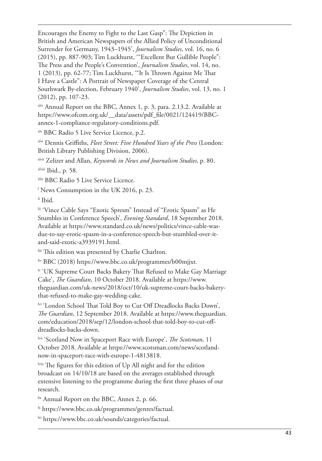Encourages the Enemy to Fight to the Last Gasp": The Depiction in British and American Newspapers of the Allied Policy of Unconditional Surrender for Germany, 1943–1945', *Journalism Studies*, vol. 16, no. 6 (2015), pp. 887-903; Tim Luckhurst, '"Excellent But Gullible People": he Press and the People's Convention', *Journalism Studies*, vol. 14, no. 1 (2013), pp. 62-77; Tim Luckhurst, "It Is Thrown Against Me That I Have a Castle": A Portrait of Newspaper Coverage of the Central Southwark By-election, February 1940', *Journalism Studies*, vol. 13, no. 1 (2012), pp. 107-23.

xliv Annual Report on the BBC, Annex 1, p. 3, para. 2.13.2. Available at https://www.ofcom.org.uk/\_data/assets/pdf\_file/0021/124419/BBCannex-1-compliance-regulatory-conditions.pdf.

xlv BBC Radio 5 Live Service Licence, p.2.

xlvi Dennis Griiths, *Fleet Street: Five Hundred Years of the Press* (London: British Library Publishing Division, 2006).

xlvii Zelizer and Allan, *Keywords in News and Journalism Studies*, p. 80.

xlviii Ibid., p. 58.

xlix BBC Radio 5 Live Service Licence.

l News Consumption in the UK 2016, p. 23.

li Ibid.

lii 'Vince Cable Says "Exotic Spresm" Instead of "Erotic Spasm" as He Stumbles in Conference Speech', *Evening Standard*, 18 September 2018. Available at https://www.standard.co.uk/news/politics/vince-cable-wasdue-to-say-erotic-spasm-in-a-conference-speech-but-stumbled-over-itand-said-exotic-a3939191.html.

liii This edition was presented by Charlie Charlton.

liv BBC (2018) https://www.bbc.co.uk/programmes/b00mjjxr.

ly 'UK Supreme Court Backs Bakery That Refused to Make Gay Marriage Cake', *he Guardian*, 10 October 2018. Available at https://www. theguardian.com/uk-news/2018/oct/10/uk-supreme-court-backs-bakerythat-refused-to-make-gay-wedding-cake.

lvi 'London School That Told Boy to Cut Off Dreadlocks Backs Down', *he Guardian*, 12 September 2018. Available at https://www.theguardian. com/education/2018/sep/12/london-school-that-told-boy-to-cut-ofdreadlocks-backs-down.

lvii 'Scotland Now in Spaceport Race with Europe', *he Scotsman*, 11 October 2018. Available at https://www.scotsman.com/news/scotlandnow-in-spaceport-race-with-europe-1-4813818.

lviii The figures for this edition of Up All night and for the edition broadcast on 14/10/18 are based on the averages established through extensive listening to the programme during the first three phases of our research.

lix Annual Report on the BBC, Annex 2, p. 66.

lx https://www.bbc.co.uk/programmes/genres/factual.

lxi https://www.bbc.co.uk/sounds/categories/factual.